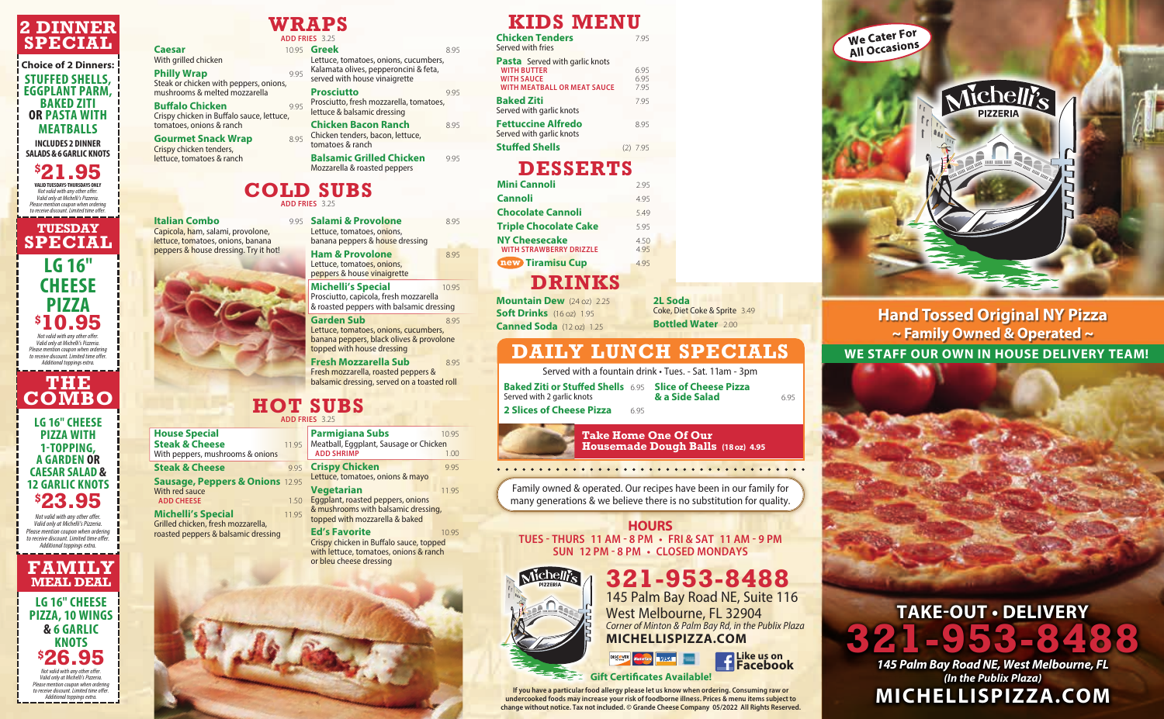# **DRINKS**

**Mountain Dew** (24 oz) 2.25 **Soft Drinks** (16 oz) 1.95 **Canned Soda** (12 oz) 1.25

**2L Soda** Coke, Diet Coke & Sprite 3.49 **Bottled Water** 2.00

With grilled chicken **Philly Wrap** 

Steak or chicken with peppers, onions, mushrooms & melted mozzarella **Buffalo Chicken** 9.95

| <b>Mini Cannoli</b>                                    | 295         |
|--------------------------------------------------------|-------------|
| <b>Cannoli</b>                                         | 495         |
| <b>Chocolate Cannoli</b>                               | 549         |
| <b>Triple Chocolate Cake</b>                           | 595         |
| <b>NY Cheesecake</b><br><b>WITH STRAWBERRY DRIZZLE</b> | 4.50<br>495 |
| <b>new Tiramisu Cup</b>                                | 495         |
|                                                        |             |

**DESSERTS**

# **COLD SUBS ADD FRIES** 3.25

**Gourmet Snack Wrap** 8.95 Crispy chicken tenders, lettuce, tomatoes & ranch

# **WRAPS**

**Caesar** 10.95

**Chicken Bacon Ranch** 8.95 Chicken tenders, bacon, lettuce, tomatoes & ranch

**Balsamic Grilled Chicken** 9.95 Mozzarella & roasted peppers

Crispy chicken in Buffalo sauce, lettuce, tomatoes, onions & ranch

|            | <b>ADD FRIES 3.25</b>                                                                                           |     |
|------------|-----------------------------------------------------------------------------------------------------------------|-----|
|            | 1095 <b>Greek</b>                                                                                               | 895 |
| 995<br>۱S, | Lettuce, tomatoes, onions, cucumbers,<br>Kalamata olives, pepperoncini & feta,<br>served with house vinaigrette |     |
|            | <b>Prosciutto</b>                                                                                               |     |

Prosciutto, fresh mozzarella, tomatoes, lettuce & balsamic dressing

> **Baked Ziti or Stuffed Shells** 6.95 **Slice of Cheese Pizza & a Side Salad** 6.95

We Cater For **We Cater :**<br>All Occasions

Served with 2 garlic knots **2 Slices of Cheese Pizza** 6.95

### **HOT SUBS ADD FRIES** 3.25

**Parmigiana Subs** 10.95 Meatball, Eggplant, Sausage or Chicken<br>ADD SHRIMP **ADD SHRIMP** 

### **HOURS**

**TUES - THURS 11 AM - 8 PM • FRI & SAT 11 AM - 9 PM SUN 12 PM - 8 PM • CLOSED MONDAYS**



**321-953-8488** 145 Palm Bay Road NE, Suite 116 West Melbourne, FL 32904 *Corner of Minton & Palm Bay Rd, in the Publix Plaza* **MICHELLISPIZZA.COM**

#### **House Special Steak & Cheese** 11.95 With peppers, mushrooms & onions

**Steak & Cheese Sausage, Peppers & Onions** 12.95 With red sauce **ADD CHEESE** 

**Michelli's Special** 11.95 Grilled chicken, fresh mozzarella, roasted peppers & balsamic dressing

Family owned & operated. Our recipes have been in our family for many generations & we believe there is no substitution for quality.

**P.95 Crispy Chicken** 9.95 Lettuce, tomatoes, onions & mayo

> **TAKE-OUT • DELIVERY 321-953-8488** *145 Palm Bay Road NE, West Melbourne, FL*

**Vegetarian** 11.95 1.50 Eggplant, roasted peppers, onions & mushrooms with balsamic dressing, topped with mozzarella & baked

> *(In the Publix Plaza)* **MICHELLISPIZZA.COM**

**Ed's Favorite** 10.95 Crispy chicken in Buffalo sauce, topped with lettuce, tomatoes, onions & ranch or bleu cheese dressing



**Italian Combo** Capicola, ham, salami, provolone, lettuce, tomatoes, onions, banana peppers & house dressing. Try it hot!



**Salami & Provolone** 8.95 Lettuce, tomatoes, onions, banana peppers & house dressing

| <b>Chicken Tenders</b><br>Served with fries                                                                            | 795                  |
|------------------------------------------------------------------------------------------------------------------------|----------------------|
| <b>Pasta</b> Served with garlic knots<br><b>WITH BUTTER</b><br><b>WITH SAUCE</b><br><b>WITH MEATBALL OR MEAT SAUCE</b> | 6.95<br>6.95<br>7.95 |
| Baked Ziti<br>Served with garlic knots                                                                                 | 795                  |
| <b>Fettuccine Alfredo</b><br>Served with garlic knots                                                                  | 8.95                 |
| <b>Stuffed Shells</b>                                                                                                  | $(2)$ 7.95           |

**Ham & Provolone** 8.95 Lettuce, tomatoes, onions, peppers & house vinaigrette

**Michelli's Special** 10.95 Prosciutto, capicola, fresh mozzarella & roasted peppers with balsamic dressing

Garden Sub<br>8.95 Lettuce, tomatoes, onions, cucumbers, banana peppers, black olives & provolone topped with house dressing

# **KIDS MENU**

# **DAILY LUNCH SPECIALS**

Served with a fountain drink • Tues. - Sat. 11am - 3pm



**If you have a particular food allergy please let us know when ordering. Consuming raw or undercooked foods may increase your risk of foodborne illness. Prices & menu items subject to change without notice. Tax not included. © Grande Cheese Company 05/2022 All Rights Reserved.**

**Hand Tossed Original NY Pizza ~ Family Owned & Operated ~ WE STAFF OUR OWN IN HOUSE DELIVERY TEAM!**

Michelli's

 $\frac{1}{2} \sum_{\substack{\mathcal{U}_{\mathcal{U}_{\mathcal{U}}}}} \frac{1}{\mathcal{U}_{\mathcal{U}_{\mathcal{U}}}}$ 

**Fresh Mozzarella Sub** 8.95 Fresh mozzarella, roasted peppers & balsamic dressing, served on a toasted roll

**Take Home One Of Our** 

**Housemade Dough Balls (18 oz) 4.95**

. . . . . . . . . . . . . . . . . .

## **2 DINNER SPECIAL**

### **Choice of 2 Dinners: STUFFED SHELLS, EGGPLANT PARM, BAKED ZITI OR PASTA WITH MEATBALLS INCLUDES 2 DINNER SALADS & 6 GARLIC KNOTS**

**\$ 21.95 VALID TUESDAYS-THURSDAYS ONLY** *Not valid with any other offer. Valid only at Michelli's Pizzeria. Please mention coupon when ordering to receive discount. Limited time offer.*

**TUESDAY SPECIAL LG 16" CHEESE**

#### **PIZZA \$ 10.95** *Not valid with any other offer. Valid only at Michelli's Pizzeria. Please mention coupon when ordering to receive discount. Limited time offer. Additional toppings extra.*

**THE COMBO**

**LG 16" CHEESE PIZZA WITH 1-TOPPING, A GARDEN OR CAESAR SALAD & 12 GARLIC KNOTS \$ 23.95**

*Not valid with any other offer. Valid only at Michelli's Pizzeria. Please mention coupon when ordering to receive discount. Limited time offer. Additional toppings extra.*

### **FAMILY MEAL DEAL**

**LG 16" CHEESE PIZZA, 10 WINGS & 6 GARLIC KNOTS \$ 26.95** *Not valid with any other offer. Valid only at Michelli's Pizzeria. Please mention coupon when ordering to receive discount. Limited time offer. Additional toppings extra.*